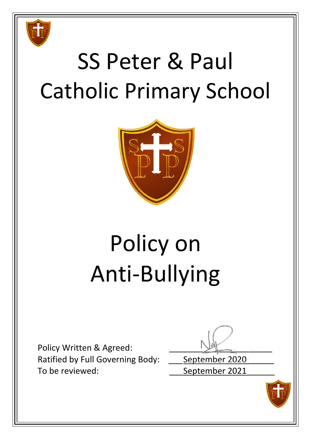

# SS Peter & Paul Catholic Primary School



# Policy on Anti-Bullying

Policy Written & Agreed: Ratified by Full Governing Body: **\_\_\_\_** September 2020 To be reviewed: To be reviewed:

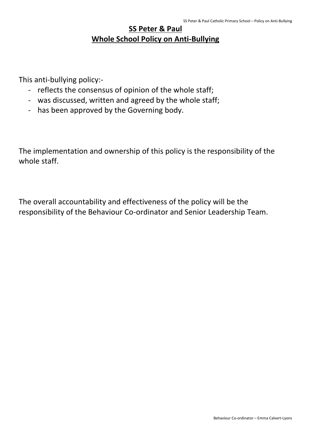### **SS Peter & Paul Whole School Policy on Anti-Bullying**

This anti-bullying policy:-

- reflects the consensus of opinion of the whole staff;
- was discussed, written and agreed by the whole staff;
- has been approved by the Governing body.

The implementation and ownership of this policy is the responsibility of the whole staff.

The overall accountability and effectiveness of the policy will be the responsibility of the Behaviour Co-ordinator and Senior Leadership Team.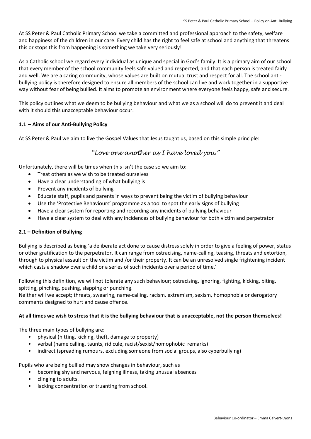At SS Peter & Paul Catholic Primary School we take a committed and professional approach to the safety, welfare and happiness of the children in our care. Every child has the right to feel safe at school and anything that threatens this or stops this from happening is something we take very seriously!

As a Catholic school we regard every individual as unique and special in God's family. It is a primary aim of our school that every member of the school community feels safe valued and respected, and that each person is treated fairly and well. We are a caring community, whose values are built on mutual trust and respect for all. The school antibullying policy is therefore designed to ensure all members of the school can live and work together in a supportive way without fear of being bullied. It aims to promote an environment where everyone feels happy, safe and secure.

This policy outlines what we deem to be bullying behaviour and what we as a school will do to prevent it and deal with it should this unacceptable behaviour occur.

#### **1.1 – Aims of our Anti-Bullying Policy**

At SS Peter & Paul we aim to live the Gospel Values that Jesus taught us, based on this simple principle:

#### *"Love one another as I have loved you."*

Unfortunately, there will be times when this isn't the case so we aim to:

- Treat others as we wish to be treated ourselves
- Have a clear understanding of what bullying is
- Prevent any incidents of bullying
- Educate staff, pupils and parents in ways to prevent being the victim of bullying behaviour
- Use the 'Protective Behaviours' programme as a tool to spot the early signs of bullying
- Have a clear system for reporting and recording any incidents of bullying behaviour
- Have a clear system to deal with any incidences of bullying behaviour for both victim and perpetrator

#### **2.1 – Definition of Bullying**

Bullying is described as being 'a deliberate act done to cause distress solely in order to give a feeling of power, status or other gratification to the perpetrator. It can range from ostracising, name-calling, teasing, threats and extortion, through to physical assault on the victim and /or their property. It can be an unresolved single frightening incident which casts a shadow over a child or a series of such incidents over a period of time.'

Following this definition, we will not tolerate any such behaviour; ostracising, ignoring, fighting, kicking, biting, spitting, pinching, pushing, slapping or punching.

Neither will we accept; threats, swearing, name-calling, racism, extremism, sexism, homophobia or derogatory comments designed to hurt and cause offence.

#### **At all times we wish to stress that it is the bullying behaviour that is unacceptable, not the person themselves!**

The three main types of bullying are:

- physical (hitting, kicking, theft, damage to property)
- verbal (name calling, taunts, ridicule, racist/sexist/homophobic remarks)
- indirect (spreading rumours, excluding someone from social groups, also cyberbullying)

Pupils who are being bullied may show changes in behaviour, such as

- becoming shy and nervous, feigning illness, taking unusual absences
- clinging to adults.
- lacking concentration or truanting from school.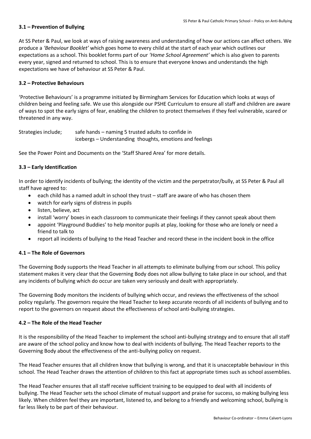#### **3.1 – Prevention of Bullying**

At SS Peter & Paul, we look at ways of raising awareness and understanding of how our actions can affect others. We produce a *'Behaviour Booklet'* which goes home to every child at the start of each year which outlines our expectations as a school. This booklet forms part of our *'Home School Agreement'* which is also given to parents every year, signed and returned to school. This is to ensure that everyone knows and understands the high expectations we have of behaviour at SS Peter & Paul.

#### **3.2 – Protective Behaviours**

'Protective Behaviours' is a programme initiated by Birmingham Services for Education which looks at ways of children being and feeling safe. We use this alongside our PSHE Curriculum to ensure all staff and children are aware of ways to spot the early signs of fear, enabling the children to protect themselves if they feel vulnerable, scared or threatened in any way.

Strategies include; safe hands – naming 5 trusted adults to confide in icebergs – Understanding thoughts, emotions and feelings

See the Power Point and Documents on the 'Staff Shared Area' for more details.

#### **3.3 – Early Identification**

In order to identify incidents of bullying; the identity of the victim and the perpetrator/bully, at SS Peter & Paul all staff have agreed to:

- each child has a named adult in school they trust staff are aware of who has chosen them
- watch for early signs of distress in pupils
- listen, believe, act
- install 'worry' boxes in each classroom to communicate their feelings if they cannot speak about them
- appoint 'Playground Buddies' to help monitor pupils at play, looking for those who are lonely or need a friend to talk to
- report all incidents of bullying to the Head Teacher and record these in the incident book in the office

#### **4.1 – The Role of Governors**

The Governing Body supports the Head Teacher in all attempts to eliminate bullying from our school. This policy statement makes it very clear that the Governing Body does not allow bullying to take place in our school, and that any incidents of bullying which do occur are taken very seriously and dealt with appropriately.

The Governing Body monitors the incidents of bullying which occur, and reviews the effectiveness of the school policy regularly. The governors require the Head Teacher to keep accurate records of all incidents of bullying and to report to the governors on request about the effectiveness of school anti-bullying strategies.

#### **4.2 – The Role of the Head Teacher**

It is the responsibility of the Head Teacher to implement the school anti-bullying strategy and to ensure that all staff are aware of the school policy and know how to deal with incidents of bullying. The Head Teacher reports to the Governing Body about the effectiveness of the anti-bullying policy on request.

The Head Teacher ensures that all children know that bullying is wrong, and that it is unacceptable behaviour in this school. The Head Teacher draws the attention of children to this fact at appropriate times such as school assemblies.

The Head Teacher ensures that all staff receive sufficient training to be equipped to deal with all incidents of bullying. The Head Teacher sets the school climate of mutual support and praise for success, so making bullying less likely. When children feel they are important, listened to, and belong to a friendly and welcoming school, bullying is far less likely to be part of their behaviour.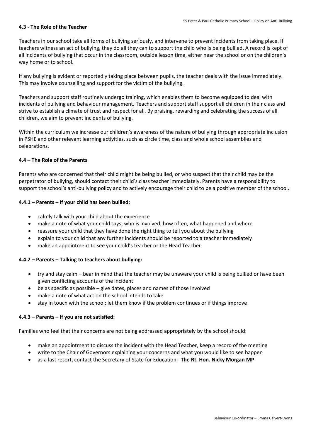#### **4.3 - The Role of the Teacher**

Teachers in our school take all forms of bullying seriously, and intervene to prevent incidents from taking place. If teachers witness an act of bullying, they do all they can to support the child who is being bullied. A record is kept of all incidents of bullying that occur in the classroom, outside lesson time, either near the school or on the children's way home or to school.

If any bullying is evident or reportedly taking place between pupils, the teacher deals with the issue immediately. This may involve counselling and support for the victim of the bullying.

Teachers and support staff routinely undergo training, which enables them to become equipped to deal with incidents of bullying and behaviour management. Teachers and support staff support all children in their class and strive to establish a climate of trust and respect for all. By praising, rewarding and celebrating the success of all children, we aim to prevent incidents of bullying.

Within the curriculum we increase our children's awareness of the nature of bullying through appropriate inclusion in PSHE and other relevant learning activities, such as circle time, class and whole school assemblies and celebrations.

#### **4.4 – The Role of the Parents**

Parents who are concerned that their child might be being bullied, or who suspect that their child may be the perpetrator of bullying, should contact their child's class teacher immediately. Parents have a responsibility to support the school's anti-bullying policy and to actively encourage their child to be a positive member of the school.

#### **4.4.1 – Parents – If your child has been bullied:**

- calmly talk with your child about the experience
- make a note of what your child says; who is involved, how often, what happened and where
- reassure your child that they have done the right thing to tell you about the bullying
- explain to your child that any further incidents should be reported to a teacher immediately
- make an appointment to see your child's teacher or the Head Teacher

#### **4.4.2 – Parents – Talking to teachers about bullying:**

- try and stay calm bear in mind that the teacher may be unaware your child is being bullied or have been given conflicting accounts of the incident
- $\bullet$  be as specific as possible give dates, places and names of those involved
- make a note of what action the school intends to take
- stay in touch with the school; let them know if the problem continues or if things improve

#### **4.4.3 – Parents – If you are not satisfied:**

Families who feel that their concerns are not being addressed appropriately by the school should:

- make an appointment to discuss the incident with the Head Teacher, keep a record of the meeting
- write to the Chair of Governors explaining your concerns and what you would like to see happen
- as a last resort, contact the Secretary of State for Education **The Rt. Hon. Nicky Morgan MP**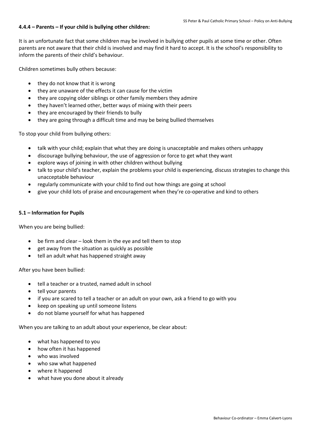#### **4.4.4 – Parents – If your child is bullying other children:**

It is an unfortunate fact that some children may be involved in bullying other pupils at some time or other. Often parents are not aware that their child is involved and may find it hard to accept. It is the school's responsibility to inform the parents of their child's behaviour.

Children sometimes bully others because:

- $\bullet$  they do not know that it is wrong
- they are unaware of the effects it can cause for the victim
- they are copying older siblings or other family members they admire
- they haven't learned other, better ways of mixing with their peers
- they are encouraged by their friends to bully
- they are going through a difficult time and may be being bullied themselves

To stop your child from bullying others:

- talk with your child; explain that what they are doing is unacceptable and makes others unhappy
- discourage bullying behaviour, the use of aggression or force to get what they want
- explore ways of joining in with other children without bullying
- talk to your child's teacher, explain the problems your child is experiencing, discuss strategies to change this unacceptable behaviour
- regularly communicate with your child to find out how things are going at school
- give your child lots of praise and encouragement when they're co-operative and kind to others

#### **5.1 – Information for Pupils**

When you are being bullied:

- be firm and clear look them in the eye and tell them to stop
- get away from the situation as quickly as possible
- tell an adult what has happened straight away

After you have been bullied:

- tell a teacher or a trusted, named adult in school
- tell your parents
- if you are scared to tell a teacher or an adult on your own, ask a friend to go with you
- keep on speaking up until someone listens
- do not blame yourself for what has happened

When you are talking to an adult about your experience, be clear about:

- what has happened to you
- how often it has happened
- who was involved
- who saw what happened
- where it happened
- what have you done about it already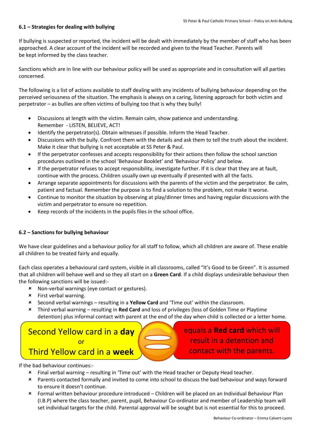#### **6.1 – Strategies for dealing with bullying**

If bullying is suspected or reported, the incident will be dealt with immediately by the member of staff who has been approached. A clear account of the incident will be recorded and given to the Head Teacher. Parents will be kept informed by the class teacher.

Sanctions which are in line with our behaviour policy will be used as appropriate and in consultation will all parties concerned.

The following is a list of actions available to staff dealing with any incidents of bullying behaviour depending on the perceived seriousness of the situation. The emphasis is always on a caring, listening approach for both victim and perpetrator – as bullies are often victims of bullying too that is why they bully!

- Discussions at length with the victim. Remain calm, show patience and understanding. Remember - LISTEN, BELIEVE, ACT!
- Identify the perpetrator(s). Obtain witnesses if possible. Inform the Head Teacher.
- Discussions with the bully. Confront them with the details and ask them to tell the truth about the incident. Make it clear that bullying is not acceptable at SS Peter & Paul.
- If the perpetrator confesses and accepts responsibility for their actions then follow the school sanction procedures outlined in the school 'Behaviour Booklet' and 'Behaviour Policy' and below.
- If the perpetrator refuses to accept responsibility, investigate further. If it is clear that they are at fault, continue with the process. Children usually own up eventually if presented with all the facts.
- Arrange separate appointments for discussions with the parents of the victim and the perpetrator. Be calm, patient and factual. Remember the purpose is to find a solution to the problem, not make it worse.
- Continue to monitor the situation by observing at play/dinner times and having regular discussions with the victim and perpetrator to ensure no repetition.
- Keep records of the incidents in the pupils files in the school office.

#### **6.2 – Sanctions for bullying behaviour**

We have clear guidelines and a behaviour policy for all staff to follow, which all children are aware of. These enable all children to be treated fairly and equally.

Each class operates a behavioural card system, visible in all classrooms, called "It's Good to be Green". It is assumed that all children will behave well and so they all start on a **Green Card**. If a child displays undesirable behaviour then the following sanctions will be issued:-

- Non-verbal warnings (eye contact or gestures).
- First verbal warning.
- Second verbal warnings resulting in a **Yellow Card** and 'Time out' within the classroom.
- Third verbal warning resulting in **Red Card** and loss of privileges (loss of Golden Time or Playtime detention) plus informal contact with parent at the end of the day when child is collected or a letter home.

### Second Yellow card in a **day** or Third Yellow card in a **week**

equals a **Red card** which will result in a detention and contact with the parents.

If the bad behaviour continues:-

- Final verbal warning resulting in 'Time out' with the Head teacher or Deputy Head teacher.
- Parents contacted formally and invited to come into school to discuss the bad behaviour and ways forward to ensure it doesn't continue.
- Formal written behaviour procedure introduced Children will be placed on an Individual Behaviour Plan (I.B.P) where the class teacher, parent, pupil, Behaviour Co-ordinator and member of Leadership team will set individual targets for the child. Parental approval will be sought but is not essential for this to proceed.